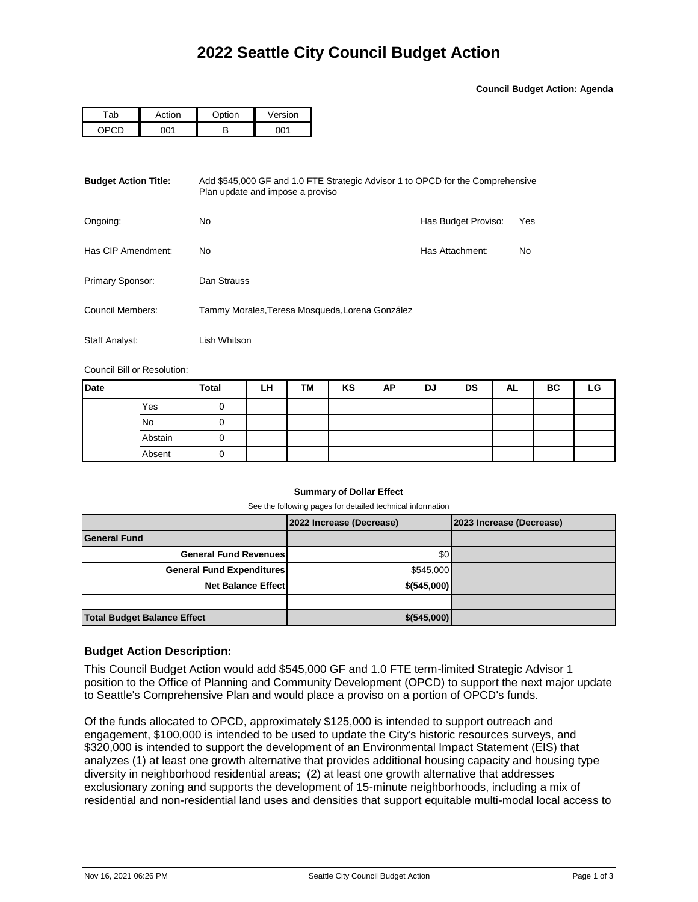**Council Budget Action: Agenda**

| -nk<br>av | Action | ∩nti∩n | Version |  |  |
|-----------|--------|--------|---------|--|--|
|           |        | D      | ו∩ר     |  |  |

| <b>Budget Action Title:</b><br>Add \$545,000 GF and 1.0 FTE Strategic Advisor 1 to OPCD for the Comprehensive<br>Plan update and impose a proviso |                                                 |                     |     |  |  |  |
|---------------------------------------------------------------------------------------------------------------------------------------------------|-------------------------------------------------|---------------------|-----|--|--|--|
| Ongoing:                                                                                                                                          | No                                              | Has Budget Proviso: | Yes |  |  |  |
| Has CIP Amendment:                                                                                                                                | No.                                             | Has Attachment:     | No  |  |  |  |
| Primary Sponsor:                                                                                                                                  | Dan Strauss                                     |                     |     |  |  |  |
| Council Members:                                                                                                                                  | Tammy Morales, Teresa Mosqueda, Lorena González |                     |     |  |  |  |
| <b>Staff Analyst:</b>                                                                                                                             | Lish Whitson                                    |                     |     |  |  |  |

Council Bill or Resolution:

| <b>Date</b> |           | <b>Total</b> | LH | TM | KS | AP | DJ | DS | AL | ВC | LG |
|-------------|-----------|--------------|----|----|----|----|----|----|----|----|----|
|             | Yes       |              |    |    |    |    |    |    |    |    |    |
|             | <b>No</b> |              |    |    |    |    |    |    |    |    |    |
|             | Abstain   |              |    |    |    |    |    |    |    |    |    |
|             | Absent    |              |    |    |    |    |    |    |    |    |    |

## **Summary of Dollar Effect**

See the following pages for detailed technical information

|                                    | 2022 Increase (Decrease) | 2023 Increase (Decrease) |
|------------------------------------|--------------------------|--------------------------|
| <b>General Fund</b>                |                          |                          |
| <b>General Fund Revenues</b>       | \$0                      |                          |
| <b>General Fund Expenditures</b>   | \$545,000                |                          |
| <b>Net Balance Effect</b>          | \$(545,000)              |                          |
|                                    |                          |                          |
| <b>Total Budget Balance Effect</b> | \$(545,000)              |                          |

## **Budget Action Description:**

This Council Budget Action would add \$545,000 GF and 1.0 FTE term-limited Strategic Advisor 1 position to the Office of Planning and Community Development (OPCD) to support the next major update to Seattle's Comprehensive Plan and would place a proviso on a portion of OPCD's funds.

Of the funds allocated to OPCD, approximately \$125,000 is intended to support outreach and engagement, \$100,000 is intended to be used to update the City's historic resources surveys, and \$320,000 is intended to support the development of an Environmental Impact Statement (EIS) that analyzes (1) at least one growth alternative that provides additional housing capacity and housing type diversity in neighborhood residential areas; (2) at least one growth alternative that addresses exclusionary zoning and supports the development of 15-minute neighborhoods, including a mix of residential and non-residential land uses and densities that support equitable multi-modal local access to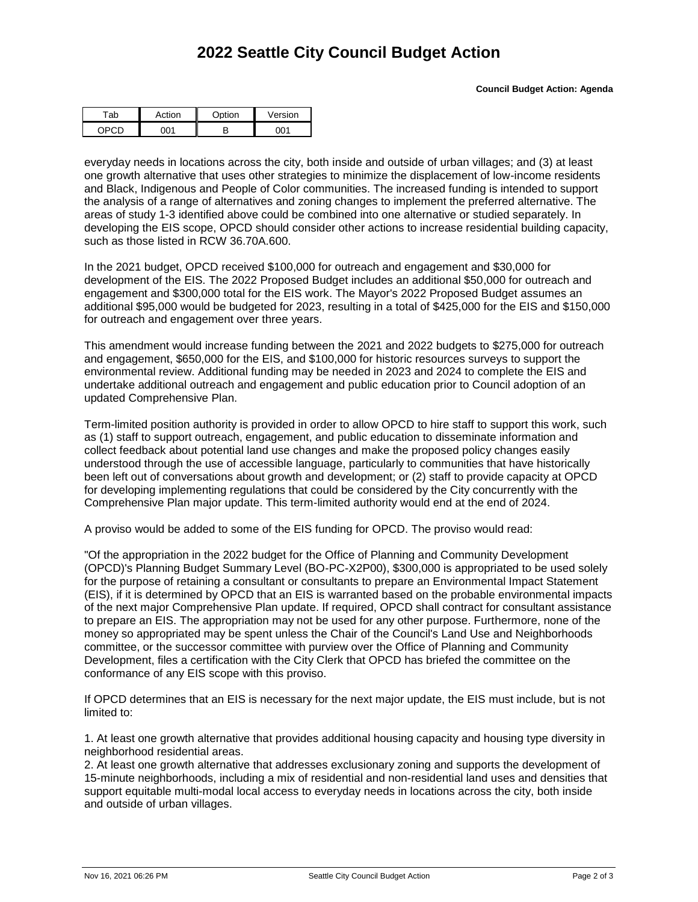## **2022 Seattle City Council Budget Action**

| -ab | ction | $\sim$ htion | Version |  |  |
|-----|-------|--------------|---------|--|--|
|     | ነበ 1  |              |         |  |  |

everyday needs in locations across the city, both inside and outside of urban villages; and (3) at least one growth alternative that uses other strategies to minimize the displacement of low-income residents and Black, Indigenous and People of Color communities. The increased funding is intended to support the analysis of a range of alternatives and zoning changes to implement the preferred alternative. The areas of study 1-3 identified above could be combined into one alternative or studied separately. In developing the EIS scope, OPCD should consider other actions to increase residential building capacity, such as those listed in RCW 36.70A.600.

In the 2021 budget, OPCD received \$100,000 for outreach and engagement and \$30,000 for development of the EIS. The 2022 Proposed Budget includes an additional \$50,000 for outreach and engagement and \$300,000 total for the EIS work. The Mayor's 2022 Proposed Budget assumes an additional \$95,000 would be budgeted for 2023, resulting in a total of \$425,000 for the EIS and \$150,000 for outreach and engagement over three years.

This amendment would increase funding between the 2021 and 2022 budgets to \$275,000 for outreach and engagement, \$650,000 for the EIS, and \$100,000 for historic resources surveys to support the environmental review. Additional funding may be needed in 2023 and 2024 to complete the EIS and undertake additional outreach and engagement and public education prior to Council adoption of an updated Comprehensive Plan.

Term-limited position authority is provided in order to allow OPCD to hire staff to support this work, such as (1) staff to support outreach, engagement, and public education to disseminate information and collect feedback about potential land use changes and make the proposed policy changes easily understood through the use of accessible language, particularly to communities that have historically been left out of conversations about growth and development; or (2) staff to provide capacity at OPCD for developing implementing regulations that could be considered by the City concurrently with the Comprehensive Plan major update. This term-limited authority would end at the end of 2024.

A proviso would be added to some of the EIS funding for OPCD. The proviso would read:

"Of the appropriation in the 2022 budget for the Office of Planning and Community Development (OPCD)'s Planning Budget Summary Level (BO-PC-X2P00), \$300,000 is appropriated to be used solely for the purpose of retaining a consultant or consultants to prepare an Environmental Impact Statement (EIS), if it is determined by OPCD that an EIS is warranted based on the probable environmental impacts of the next major Comprehensive Plan update. If required, OPCD shall contract for consultant assistance to prepare an EIS. The appropriation may not be used for any other purpose. Furthermore, none of the money so appropriated may be spent unless the Chair of the Council's Land Use and Neighborhoods committee, or the successor committee with purview over the Office of Planning and Community Development, files a certification with the City Clerk that OPCD has briefed the committee on the conformance of any EIS scope with this proviso.

If OPCD determines that an EIS is necessary for the next major update, the EIS must include, but is not limited to:

1. At least one growth alternative that provides additional housing capacity and housing type diversity in neighborhood residential areas.

2. At least one growth alternative that addresses exclusionary zoning and supports the development of 15-minute neighborhoods, including a mix of residential and non-residential land uses and densities that support equitable multi-modal local access to everyday needs in locations across the city, both inside and outside of urban villages.